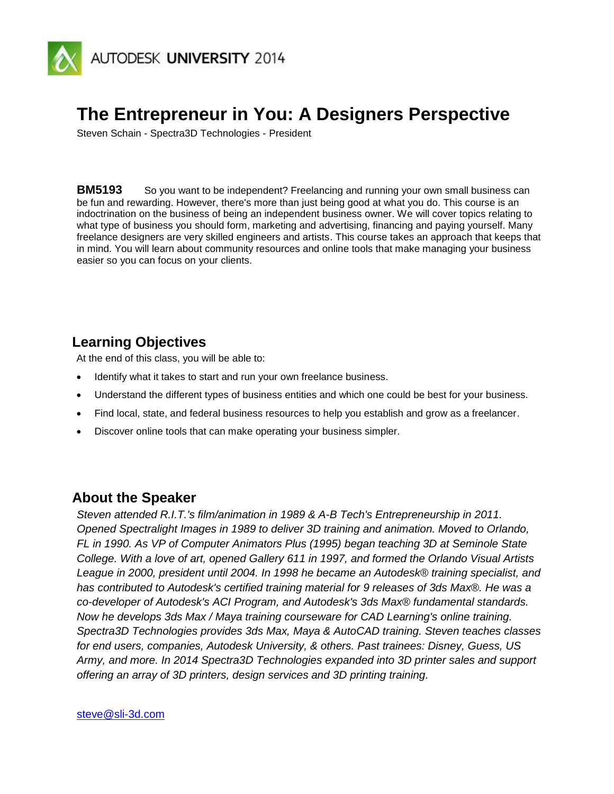

# **The Entrepreneur in You: A Designers Perspective**

Steven Schain - Spectra3D Technologies - President

**BM5193** So you want to be independent? Freelancing and running your own small business can be fun and rewarding. However, there's more than just being good at what you do. This course is an indoctrination on the business of being an independent business owner. We will cover topics relating to what type of business you should form, marketing and advertising, financing and paying yourself. Many freelance designers are very skilled engineers and artists. This course takes an approach that keeps that in mind. You will learn about community resources and online tools that make managing your business easier so you can focus on your clients.

# **Learning Objectives**

At the end of this class, you will be able to:

- Identify what it takes to start and run your own freelance business.
- Understand the different types of business entities and which one could be best for your business.
- Find local, state, and federal business resources to help you establish and grow as a freelancer.
- Discover online tools that can make operating your business simpler.

### **About the Speaker**

*Steven attended R.I.T.'s film/animation in 1989 & A-B Tech's Entrepreneurship in 2011. Opened Spectralight Images in 1989 to deliver 3D training and animation. Moved to Orlando, FL in 1990. As VP of Computer Animators Plus (1995) began teaching 3D at Seminole State College. With a love of art, opened Gallery 611 in 1997, and formed the Orlando Visual Artists League in 2000, president until 2004. In 1998 he became an Autodesk® training specialist, and has contributed to Autodesk's certified training material for 9 releases of 3ds Max®. He was a co-developer of Autodesk's ACI Program, and Autodesk's 3ds Max® fundamental standards. Now he develops 3ds Max / Maya training courseware for CAD Learning's online training. Spectra3D Technologies provides 3ds Max, Maya & AutoCAD training. Steven teaches classes for end users, companies, Autodesk University, & others. Past trainees: Disney, Guess, US Army, and more. In 2014 Spectra3D Technologies expanded into 3D printer sales and support offering an array of 3D printers, design services and 3D printing training.*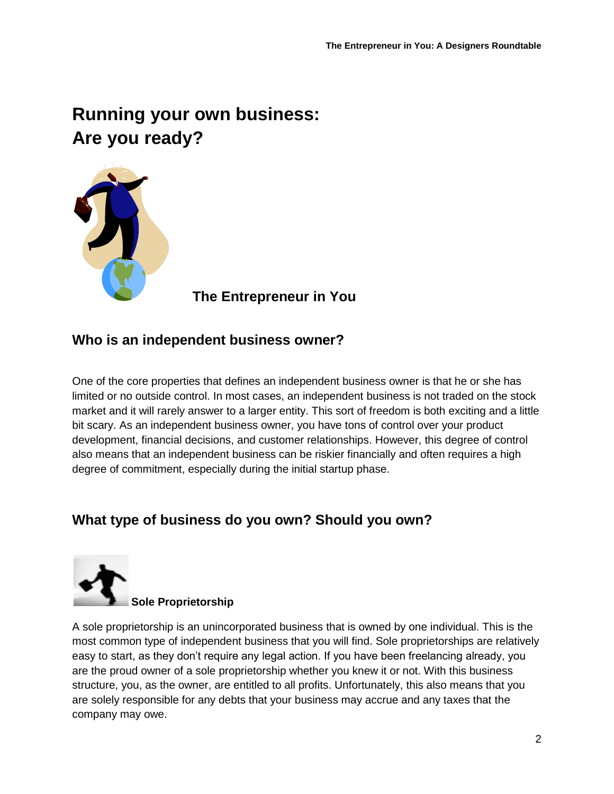# **Running your own business: Are you ready?**



 **The Entrepreneur in You**

# **Who is an independent business owner?**

One of the core properties that defines an independent business owner is that he or she has limited or no outside control. In most cases, an independent business is not traded on the stock market and it will rarely answer to a larger entity. This sort of freedom is both exciting and a little bit scary. As an independent business owner, you have tons of control over your product development, financial decisions, and customer relationships. However, this degree of control also means that an independent business can be riskier financially and often requires a high degree of commitment, especially during the initial startup phase.

# **What type of business do you own? Should you own?**



### **Sole Proprietorship**

A sole proprietorship is an unincorporated business that is owned by one individual. This is the most common type of independent business that you will find. Sole proprietorships are relatively easy to start, as they don't require any legal action. If you have been freelancing already, you are the proud owner of a sole proprietorship whether you knew it or not. With this business structure, you, as the owner, are entitled to all profits. Unfortunately, this also means that you are solely responsible for any debts that your business may accrue and any taxes that the company may owe.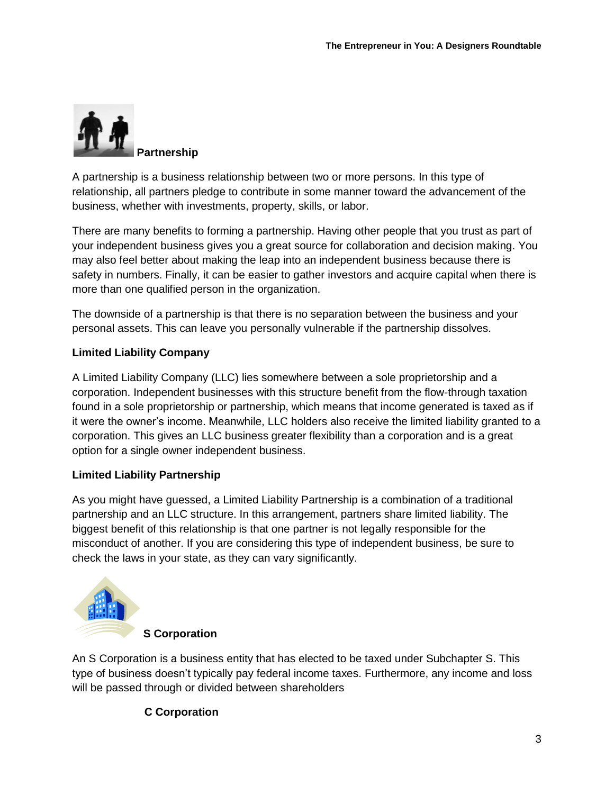

A partnership is a business relationship between two or more persons. In this type of relationship, all partners pledge to contribute in some manner toward the advancement of the business, whether with investments, property, skills, or labor.

There are many benefits to forming a partnership. Having other people that you trust as part of your independent business gives you a great source for collaboration and decision making. You may also feel better about making the leap into an independent business because there is safety in numbers. Finally, it can be easier to gather investors and acquire capital when there is more than one qualified person in the organization.

The downside of a partnership is that there is no separation between the business and your personal assets. This can leave you personally vulnerable if the partnership dissolves.

### **Limited Liability Company**

A Limited Liability Company (LLC) lies somewhere between a sole proprietorship and a corporation. Independent businesses with this structure benefit from the flow-through taxation found in a sole proprietorship or partnership, which means that income generated is taxed as if it were the owner's income. Meanwhile, LLC holders also receive the limited liability granted to a corporation. This gives an LLC business greater flexibility than a corporation and is a great option for a single owner independent business.

### **Limited Liability Partnership**

As you might have guessed, a Limited Liability Partnership is a combination of a traditional partnership and an LLC structure. In this arrangement, partners share limited liability. The biggest benefit of this relationship is that one partner is not legally responsible for the misconduct of another. If you are considering this type of independent business, be sure to check the laws in your state, as they can vary significantly.



An S Corporation is a business entity that has elected to be taxed under Subchapter S. This type of business doesn't typically pay federal income taxes. Furthermore, any income and loss will be passed through or divided between shareholders

### **C Corporation**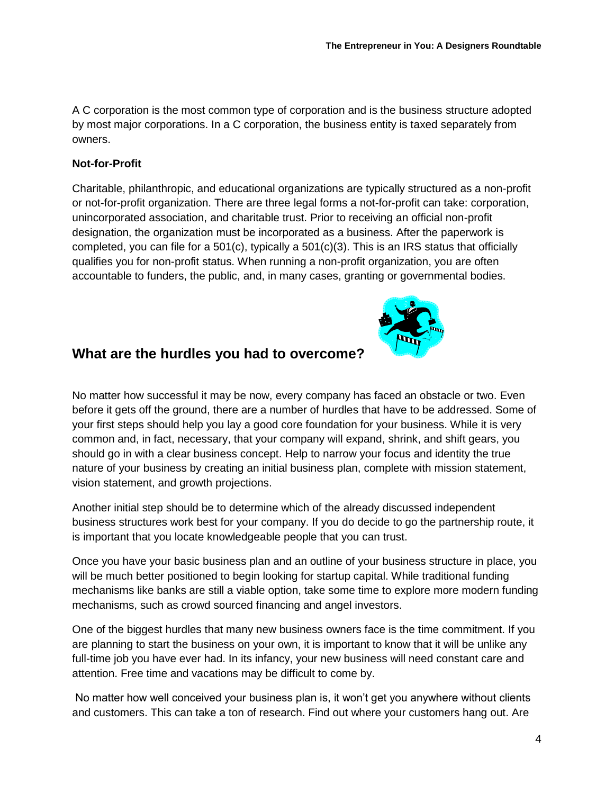A C corporation is the most common type of corporation and is the business structure adopted by most major corporations. In a C corporation, the business entity is taxed separately from owners.

### **Not-for-Profit**

Charitable, philanthropic, and educational organizations are typically structured as a non-profit or not-for-profit organization. There are three legal forms a not-for-profit can take: corporation, unincorporated association, and charitable trust. Prior to receiving an official non-profit designation, the organization must be incorporated as a business. After the paperwork is completed, you can file for a 501(c), typically a  $501(c)(3)$ . This is an IRS status that officially qualifies you for non-profit status. When running a non-profit organization, you are often accountable to funders, the public, and, in many cases, granting or governmental bodies.



No matter how successful it may be now, every company has faced an obstacle or two. Even before it gets off the ground, there are a number of hurdles that have to be addressed. Some of your first steps should help you lay a good core foundation for your business. While it is very common and, in fact, necessary, that your company will expand, shrink, and shift gears, you should go in with a clear business concept. Help to narrow your focus and identity the true nature of your business by creating an initial business plan, complete with mission statement, vision statement, and growth projections.

Another initial step should be to determine which of the already discussed independent business structures work best for your company. If you do decide to go the partnership route, it is important that you locate knowledgeable people that you can trust.

Once you have your basic business plan and an outline of your business structure in place, you will be much better positioned to begin looking for startup capital. While traditional funding mechanisms like banks are still a viable option, take some time to explore more modern funding mechanisms, such as crowd sourced financing and angel investors.

One of the biggest hurdles that many new business owners face is the time commitment. If you are planning to start the business on your own, it is important to know that it will be unlike any full-time job you have ever had. In its infancy, your new business will need constant care and attention. Free time and vacations may be difficult to come by.

No matter how well conceived your business plan is, it won't get you anywhere without clients and customers. This can take a ton of research. Find out where your customers hang out. Are

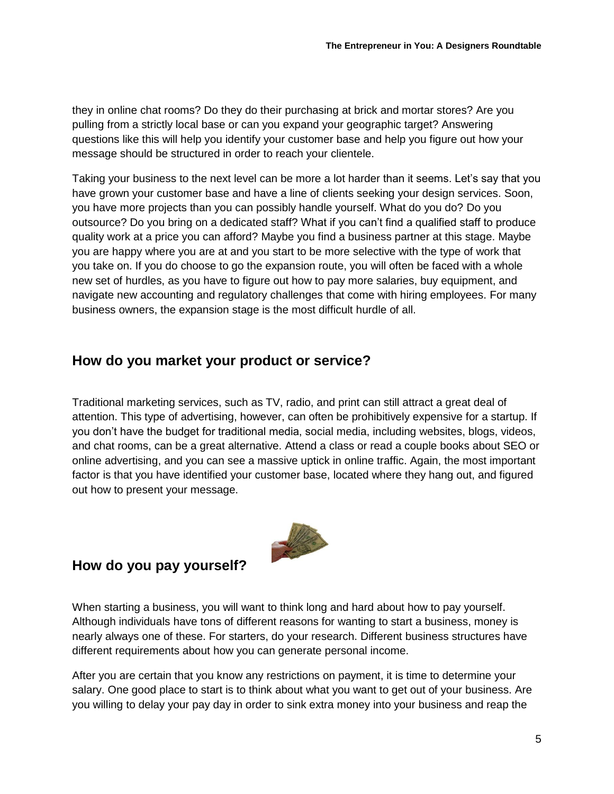they in online chat rooms? Do they do their purchasing at brick and mortar stores? Are you pulling from a strictly local base or can you expand your geographic target? Answering questions like this will help you identify your customer base and help you figure out how your message should be structured in order to reach your clientele.

Taking your business to the next level can be more a lot harder than it seems. Let's say that you have grown your customer base and have a line of clients seeking your design services. Soon, you have more projects than you can possibly handle yourself. What do you do? Do you outsource? Do you bring on a dedicated staff? What if you can't find a qualified staff to produce quality work at a price you can afford? Maybe you find a business partner at this stage. Maybe you are happy where you are at and you start to be more selective with the type of work that you take on. If you do choose to go the expansion route, you will often be faced with a whole new set of hurdles, as you have to figure out how to pay more salaries, buy equipment, and navigate new accounting and regulatory challenges that come with hiring employees. For many business owners, the expansion stage is the most difficult hurdle of all.

# **How do you market your product or service?**

Traditional marketing services, such as TV, radio, and print can still attract a great deal of attention. This type of advertising, however, can often be prohibitively expensive for a startup. If you don't have the budget for traditional media, social media, including websites, blogs, videos, and chat rooms, can be a great alternative. Attend a class or read a couple books about SEO or online advertising, and you can see a massive uptick in online traffic. Again, the most important factor is that you have identified your customer base, located where they hang out, and figured out how to present your message.



# **How do you pay yourself?**

When starting a business, you will want to think long and hard about how to pay yourself. Although individuals have tons of different reasons for wanting to start a business, money is nearly always one of these. For starters, do your research. Different business structures have different requirements about how you can generate personal income.

After you are certain that you know any restrictions on payment, it is time to determine your salary. One good place to start is to think about what you want to get out of your business. Are you willing to delay your pay day in order to sink extra money into your business and reap the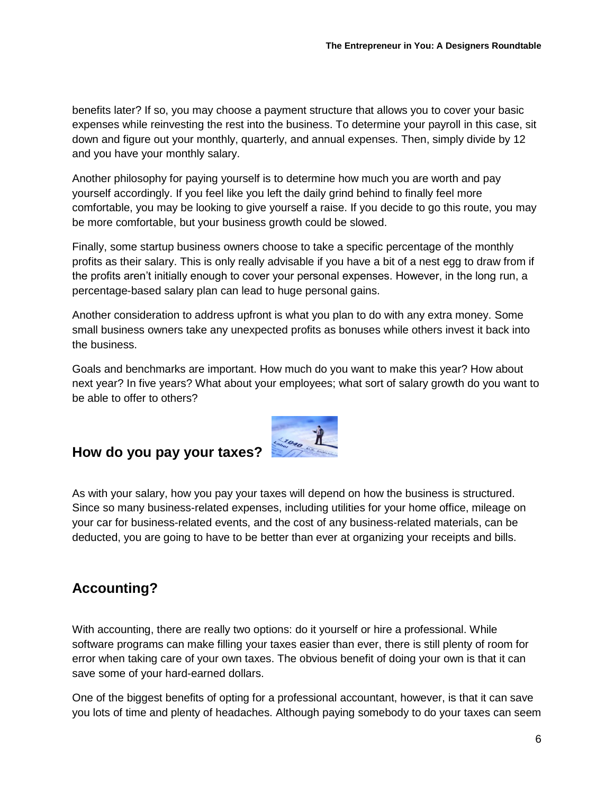benefits later? If so, you may choose a payment structure that allows you to cover your basic expenses while reinvesting the rest into the business. To determine your payroll in this case, sit down and figure out your monthly, quarterly, and annual expenses. Then, simply divide by 12 and you have your monthly salary.

Another philosophy for paying yourself is to determine how much you are worth and pay yourself accordingly. If you feel like you left the daily grind behind to finally feel more comfortable, you may be looking to give yourself a raise. If you decide to go this route, you may be more comfortable, but your business growth could be slowed.

Finally, some startup business owners choose to take a specific percentage of the monthly profits as their salary. This is only really advisable if you have a bit of a nest egg to draw from if the profits aren't initially enough to cover your personal expenses. However, in the long run, a percentage-based salary plan can lead to huge personal gains.

Another consideration to address upfront is what you plan to do with any extra money. Some small business owners take any unexpected profits as bonuses while others invest it back into the business.

Goals and benchmarks are important. How much do you want to make this year? How about next year? In five years? What about your employees; what sort of salary growth do you want to be able to offer to others?



# **How do you pay your taxes?**

As with your salary, how you pay your taxes will depend on how the business is structured. Since so many business-related expenses, including utilities for your home office, mileage on your car for business-related events, and the cost of any business-related materials, can be deducted, you are going to have to be better than ever at organizing your receipts and bills.

# **Accounting?**

With accounting, there are really two options: do it yourself or hire a professional. While software programs can make filling your taxes easier than ever, there is still plenty of room for error when taking care of your own taxes. The obvious benefit of doing your own is that it can save some of your hard-earned dollars.

One of the biggest benefits of opting for a professional accountant, however, is that it can save you lots of time and plenty of headaches. Although paying somebody to do your taxes can seem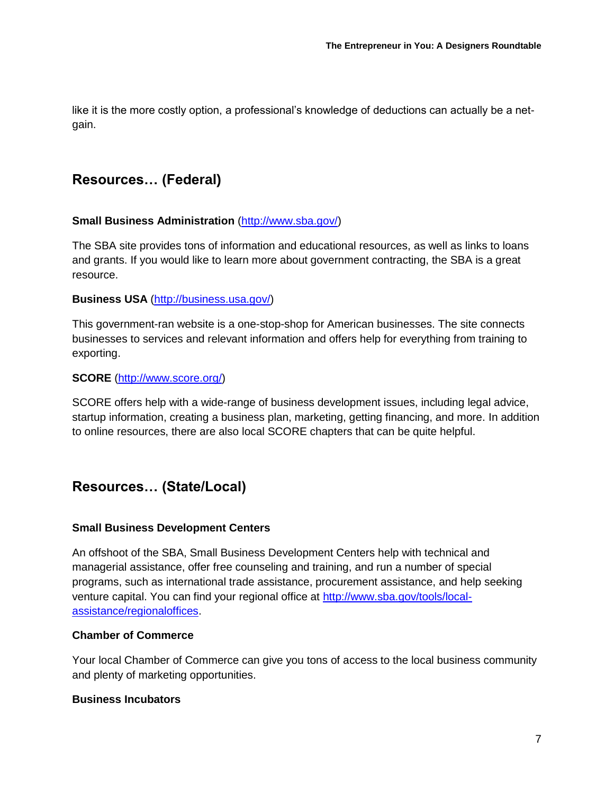like it is the more costly option, a professional's knowledge of deductions can actually be a netgain.

### **Resources… (Federal)**

#### **Small Business Administration** [\(http://www.sba.gov/\)](http://www.sba.gov/)

The SBA site provides tons of information and educational resources, as well as links to loans and grants. If you would like to learn more about government contracting, the SBA is a great resource.

#### **Business USA** [\(http://business.usa.gov/\)](http://business.usa.gov/)

This government-ran website is a one-stop-shop for American businesses. The site connects businesses to services and relevant information and offers help for everything from training to exporting.

#### **SCORE** [\(http://www.score.org/\)](http://www.score.org/)

SCORE offers help with a wide-range of business development issues, including legal advice, startup information, creating a business plan, marketing, getting financing, and more. In addition to online resources, there are also local SCORE chapters that can be quite helpful.

### **Resources… (State/Local)**

### **Small Business Development Centers**

An offshoot of the SBA, Small Business Development Centers help with technical and managerial assistance, offer free counseling and training, and run a number of special programs, such as international trade assistance, procurement assistance, and help seeking venture capital. You can find your regional office at [http://www.sba.gov/tools/local](http://www.sba.gov/tools/local-assistance/regionaloffices)[assistance/regionaloffices.](http://www.sba.gov/tools/local-assistance/regionaloffices)

### **Chamber of Commerce**

Your local Chamber of Commerce can give you tons of access to the local business community and plenty of marketing opportunities.

#### **Business Incubators**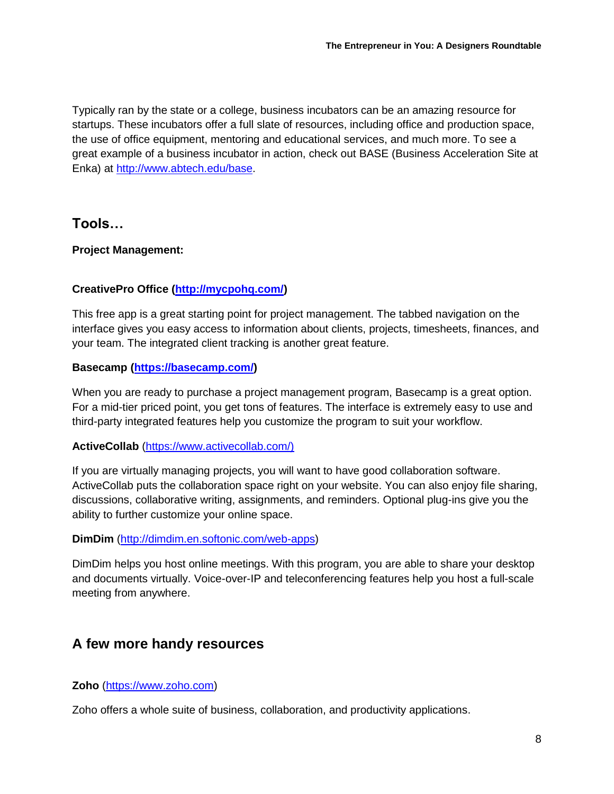Typically ran by the state or a college, business incubators can be an amazing resource for startups. These incubators offer a full slate of resources, including office and production space, the use of office equipment, mentoring and educational services, and much more. To see a great example of a business incubator in action, check out BASE (Business Acceleration Site at Enka) at http:/[/www.abtech.edu/base.](http://www.abtech.edu/base)

### **Tools…**

**Project Management:**

### **CreativePro Office [\(http://mycpohq.com/\)](http://mycpohq.com/)**

This free app is a great starting point for project management. The tabbed navigation on the interface gives you easy access to information about clients, projects, timesheets, finances, and your team. The integrated client tracking is another great feature.

### **Basecamp [\(https://basecamp.com/\)](https://basecamp.com/)**

When you are ready to purchase a project management program, Basecamp is a great option. For a mid-tier priced point, you get tons of features. The interface is extremely easy to use and third-party integrated features help you customize the program to suit your workflow.

### **ActiveCollab** [\(https://www.activecollab.com/\)](https://www.activecollab.com/))

If you are virtually managing projects, you will want to have good collaboration software. ActiveCollab puts the collaboration space right on your website. You can also enjoy file sharing, discussions, collaborative writing, assignments, and reminders. Optional plug-ins give you the ability to further customize your online space.

### **DimDim** [\(http://dimdim.en.softonic.com/web-apps\)](http://dimdim.en.softonic.com/web-apps)

DimDim helps you host online meetings. With this program, you are able to share your desktop and documents virtually. Voice-over-IP and teleconferencing features help you host a full-scale meeting from anywhere.

# **A few more handy resources**

**Zoho** [\(https://www.zoho.com\)](https://www.zoho.com/)

Zoho offers a whole suite of business, collaboration, and productivity applications.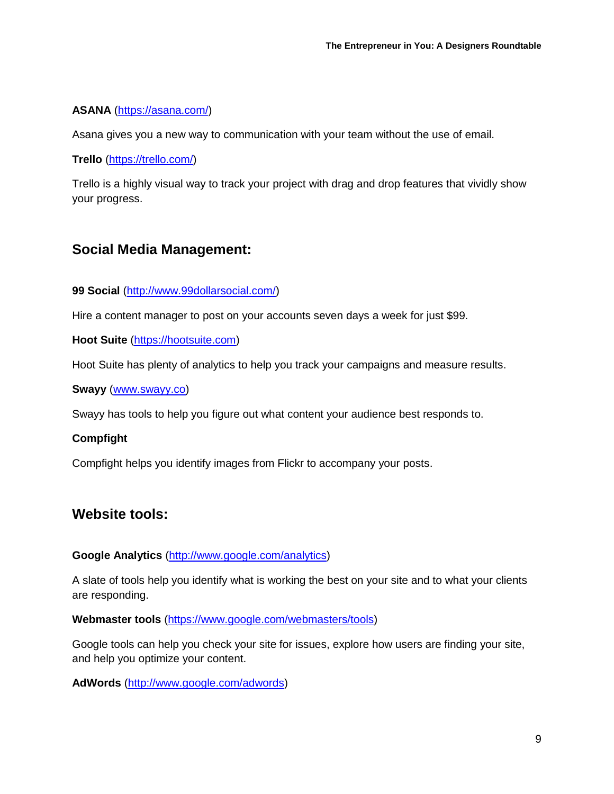### **ASANA** [\(https://asana.com/\)](https://asana.com/)

Asana gives you a new way to communication with your team without the use of email.

**Trello** [\(https://trello.com/\)](https://trello.com/)

Trello is a highly visual way to track your project with drag and drop features that vividly show your progress.

# **Social Media Management:**

### **99 Social** [\(http://www.99dollarsocial.com/\)](http://www.99dollarsocial.com/)

Hire a content manager to post on your accounts seven days a week for just \$99.

**Hoot Suite** [\(https://hootsuite.com\)](https://hootsuite.com/)

Hoot Suite has plenty of analytics to help you track your campaigns and measure results.

**Swayy** [\(www.swayy.co\)](http://www.swayy.co/)

Swayy has tools to help you figure out what content your audience best responds to.

### **Compfight**

Compfight helps you identify images from Flickr to accompany your posts.

# **Website tools:**

### **Google Analytics** [\(http://www.google.com/analytics\)](http://www.google.com/analytics)

A slate of tools help you identify what is working the best on your site and to what your clients are responding.

**Webmaster tools** [\(https://www.google.com/webmasters/tools\)](https://www.google.com/webmasters/tools)

Google tools can help you check your site for issues, explore how users are finding your site, and help you optimize your content.

**AdWords** [\(http://www.google.com/adwords\)](http://www.google.com/adwords)